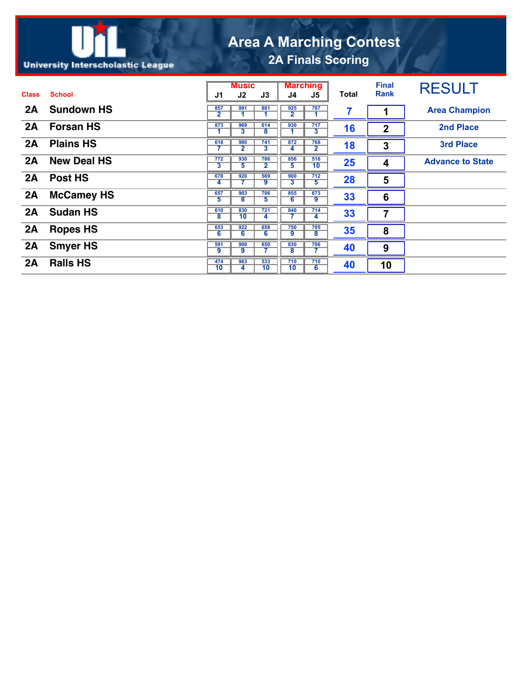## **Area A Marching Contest 2A Finals Scoring**

## **University Interscholastic League**

|              |                    | <b>Music</b>                   |                                |                                | <b>Marching</b>                |                                |              | <b>Final</b> | <b>RESULT</b>           |
|--------------|--------------------|--------------------------------|--------------------------------|--------------------------------|--------------------------------|--------------------------------|--------------|--------------|-------------------------|
| <b>Class</b> | <b>School</b>      | J1                             | J2                             | J3                             | J4                             | J5                             | <b>Total</b> | <b>Rank</b>  |                         |
| 2A           | <b>Sundown HS</b>  | 857<br>2                       | 991                            | 881                            | 925<br>$\overline{\mathbf{2}}$ | 787                            | 7            |              | <b>Area Champion</b>    |
| 2A           | <b>Forsan HS</b>   | 873<br>1                       | 969<br>3                       | 614<br>8                       | 930                            | 717<br>3                       | 16           | $\mathbf{2}$ | <b>2nd Place</b>        |
| 2A           | <b>Plains HS</b>   | 618                            | 980<br>$\mathbf{2}$            | 741<br>$\overline{\mathbf{3}}$ | 872<br>4                       | 768<br>$\overline{\mathbf{2}}$ | 18           | 3            | <b>3rd Place</b>        |
| 2A           | <b>New Deal HS</b> | 772<br>$\overline{\mathbf{3}}$ | 930<br>5                       | 786<br>$\overline{\mathbf{2}}$ | 856<br>5                       | 516<br>$\overline{10}$         | 25           | 4            | <b>Advance to State</b> |
| 2A           | Post HS            | 678<br>4                       | 920                            | 569<br>9                       | 900<br>3                       | 712<br>$\overline{5}$          | 28           | 5            |                         |
| 2A           | <b>McCamey HS</b>  | 657<br>5                       | 903<br>$\overline{\mathbf{8}}$ | 706<br>5                       | 855<br>6                       | 673<br>9                       | 33           | 6            |                         |
| 2A           | <b>Sudan HS</b>    | 610<br>8                       | 830<br>10                      | 721<br>4                       | 840                            | 714<br>4                       | 33           | 7            |                         |
| 2A           | <b>Ropes HS</b>    | 653<br>6                       | 922<br>6                       | 658<br>6                       | 750<br>9                       | 705<br>8                       | 35           | 8            |                         |
| 2A           | <b>Smyer HS</b>    | 591<br>9                       | 900<br>9                       | 650                            | 830<br>$\overline{\mathbf{8}}$ | 706<br>7                       | 40           | 9            |                         |
| 2A           | <b>Ralls HS</b>    | 474<br>10                      | 963<br>4                       | 533<br>10                      | 710<br>10                      | 710<br>$6\overline{6}$         | 40           | 10           |                         |